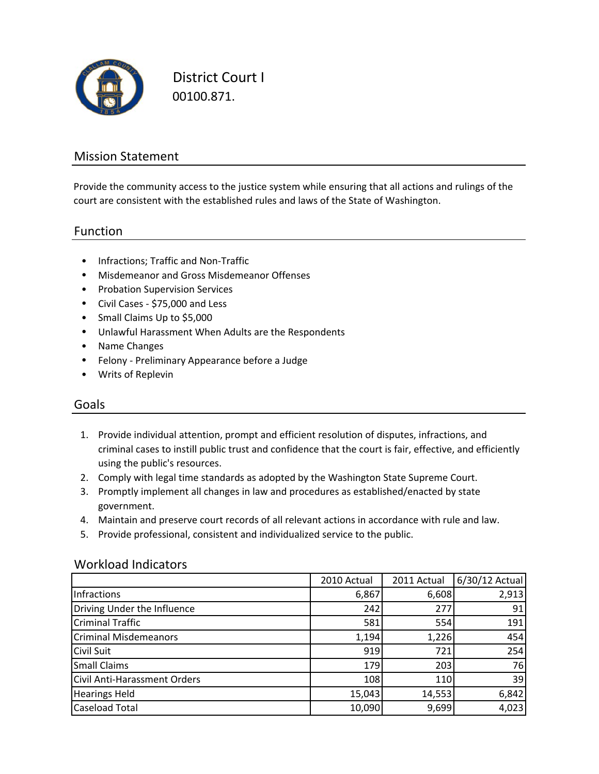

District Court I 00100.871.

### Mission Statement

Provide the community access to the justice system while ensuring that all actions and rulings of the court are consistent with the established rules and laws of the State of Washington.

#### Function

- Infractions; Traffic and Non‐Traffic
- Misdemeanor and Gross Misdemeanor Offenses
- Probation Supervision Services
- Civil Cases ‐ \$75,000 and Less
- Small Claims Up to \$5,000
- Unlawful Harassment When Adults are the Respondents
- Name Changes
- Felony ‐ Preliminary Appearance before a Judge
- Writs of Replevin

#### Goals

- 1. Provide individual attention, prompt and efficient resolution of disputes, infractions, and criminal cases to instill public trust and confidence that the court is fair, effective, and efficiently using the public's resources.
- 2. Comply with legal time standards as adopted by the Washington State Supreme Court.
- 3. Promptly implement all changes in law and procedures as established/enacted by state government.
- 4. Maintain and preserve court records of all relevant actions in accordance with rule and law.
- 5. Provide professional, consistent and individualized service to the public.

#### Workload Indicators

|                                     | 2010 Actual | 2011 Actual | 6/30/12 Actual |
|-------------------------------------|-------------|-------------|----------------|
| Infractions                         | 6,867       | 6,608       | 2,913          |
| Driving Under the Influence         | 242         | 277         | 91             |
| <b>Criminal Traffic</b>             | 581         | 554         | 191            |
| <b>Criminal Misdemeanors</b>        | 1,194       | 1,226       | 454            |
| <b>Civil Suit</b>                   | 919         | 721         | 254            |
| <b>Small Claims</b>                 | 179         | 203         | 76             |
| <b>Civil Anti-Harassment Orders</b> | 108         | 110         | 39             |
| <b>Hearings Held</b>                | 15,043      | 14,553      | 6,842          |
| <b>Caseload Total</b>               | 10,090      | 9,699       | 4,023          |